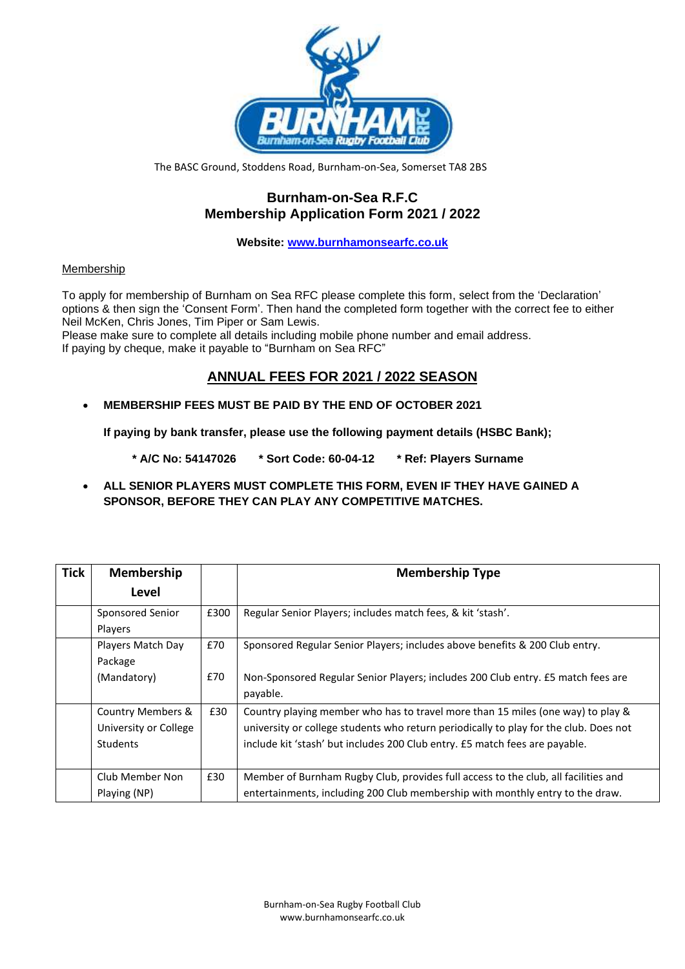

The BASC Ground, Stoddens Road, Burnham-on-Sea, Somerset TA8 2BS

## **Burnham-on-Sea R.F.C Membership Application Form 2021 / 2022**

**Website: [www.burnhamonsearfc.co.uk](http://www.burnhamonsearfc.co.uk/)**

## Membership

To apply for membership of Burnham on Sea RFC please complete this form, select from the 'Declaration' options & then sign the 'Consent Form'. Then hand the completed form together with the correct fee to either Neil McKen, Chris Jones, Tim Piper or Sam Lewis.

Please make sure to complete all details including mobile phone number and email address. If paying by cheque, make it payable to "Burnham on Sea RFC"

# **ANNUAL FEES FOR 2021 / 2022 SEASON**

• **MEMBERSHIP FEES MUST BE PAID BY THE END OF OCTOBER 2021**

**If paying by bank transfer, please use the following payment details (HSBC Bank);**

 **\* A/C No: 54147026 \* Sort Code: 60-04-12 \* Ref: Players Surname**

• **ALL SENIOR PLAYERS MUST COMPLETE THIS FORM, EVEN IF THEY HAVE GAINED A SPONSOR, BEFORE THEY CAN PLAY ANY COMPETITIVE MATCHES.**

| <b>Tick</b> | <b>Membership</b>                                             |      | <b>Membership Type</b>                                                                                                                                                                                                                                  |  |
|-------------|---------------------------------------------------------------|------|---------------------------------------------------------------------------------------------------------------------------------------------------------------------------------------------------------------------------------------------------------|--|
|             | Level                                                         |      |                                                                                                                                                                                                                                                         |  |
|             | Sponsored Senior<br><b>Players</b>                            | £300 | Regular Senior Players; includes match fees, & kit 'stash'.                                                                                                                                                                                             |  |
|             | Players Match Day<br>Package                                  | £70  | Sponsored Regular Senior Players; includes above benefits & 200 Club entry.                                                                                                                                                                             |  |
|             | (Mandatory)                                                   | £70  | Non-Sponsored Regular Senior Players; includes 200 Club entry. £5 match fees are<br>payable.                                                                                                                                                            |  |
|             | Country Members &<br>University or College<br><b>Students</b> | £30  | Country playing member who has to travel more than 15 miles (one way) to play &<br>university or college students who return periodically to play for the club. Does not<br>include kit 'stash' but includes 200 Club entry. £5 match fees are payable. |  |
|             | Club Member Non<br>Playing (NP)                               | £30  | Member of Burnham Rugby Club, provides full access to the club, all facilities and<br>entertainments, including 200 Club membership with monthly entry to the draw.                                                                                     |  |